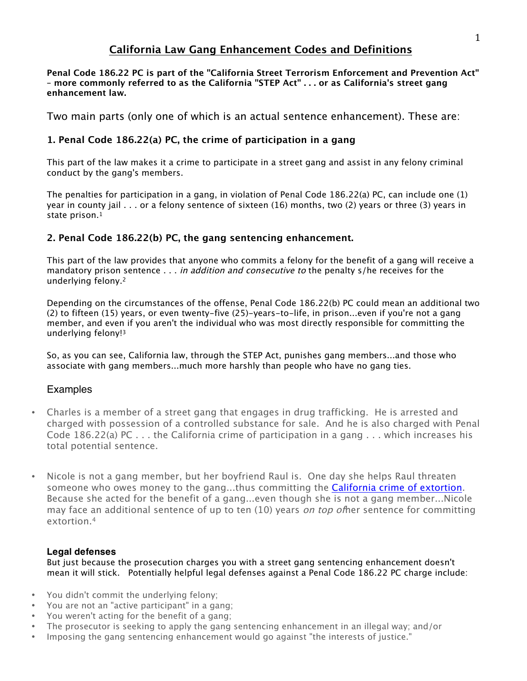# **California Law Gang Enhancement Codes and Definitions**

**Penal Code 186.22 PC is part of the "California Street Terrorism Enforcement and Prevention Act" – more commonly referred to as the California "STEP Act" . . . or as California's street gang enhancement law.**

Two main parts (only one of which is an actual sentence enhancement). These are:

#### **1. Penal Code 186.22(a) PC, the crime of participation in a gang**

This part of the law makes it a crime to participate in a street gang and assist in any felony criminal conduct by the gang's members.

The penalties for participation in a gang, in violation of Penal Code 186.22(a) PC, can include one (1) year in county jail . . . or a felony sentence of sixteen (16) months, two (2) years or three (3) years in state prison.1

#### **2. Penal Code 186.22(b) PC, the gang sentencing enhancement.**

This part of the law provides that anyone who commits a felony for the benefit of a gang will receive a mandatory prison sentence . . . in addition and consecutive to the penalty s/he receives for the underlying felony.2

Depending on the circumstances of the offense, Penal Code 186.22(b) PC could mean an additional two (2) to fifteen (15) years, or even twenty-five (25)-years-to-life, in prison...even if you're not a gang member, and even if you aren't the individual who was most directly responsible for committing the underlying felony!3

So, as you can see, California law, through the STEP Act, punishes gang members...and those who associate with gang members...much more harshly than people who have no gang ties.

#### **Examples**

- Charles is a member of a street gang that engages in drug trafficking. He is arrested and charged with possession of a controlled substance for sale. And he is also charged with Penal Code 186.22(a) PC . . . the California crime of participation in a gang . . . which increases his total potential sentence.
- Nicole is not a gang member, but her boyfriend Raul is. One day she helps Raul threaten someone who owes money to the gang...thus committing the California crime of extortion. Because she acted for the benefit of a gang...even though she is not a gang member...Nicole may face an additional sentence of up to ten (10) years *on top of* her sentence for committing extortion.4

#### **Legal defenses**

But just because the prosecution charges you with a street gang sentencing enhancement doesn't mean it will stick. Potentially helpful legal defenses against a Penal Code 186.22 PC charge include:

- You didn't commit the underlying felony;
- You are not an "active participant" in a gang;
- You weren't acting for the benefit of a gang;
- The prosecutor is seeking to apply the gang sentencing enhancement in an illegal way; and/or
- Imposing the gang sentencing enhancement would go against "the interests of justice."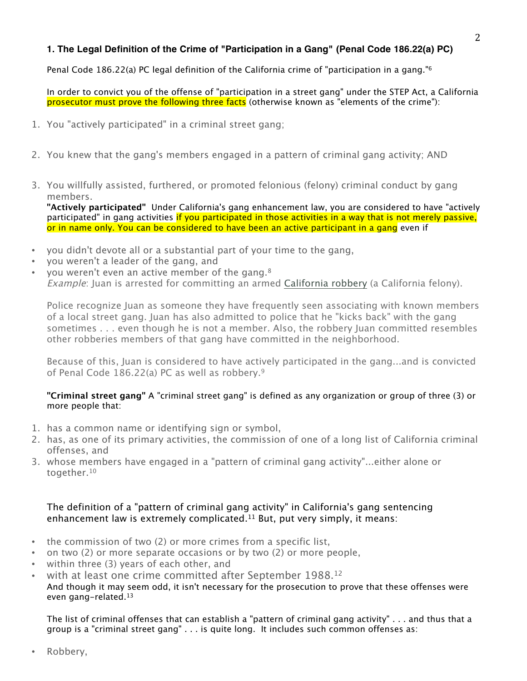#### **1. The Legal Definition of the Crime of "Participation in a Gang" (Penal Code 186.22(a) PC)**

Penal Code 186.22(a) PC legal definition of the California crime of "participation in a gang."6

In order to convict you of the offense of "participation in a street gang" under the STEP Act, a California prosecutor must prove the following three facts (otherwise known as "elements of the crime"):

- 1. You "actively participated" in a criminal street gang;
- 2. You knew that the gang's members engaged in a pattern of criminal gang activity; AND
- 3. You willfully assisted, furthered, or promoted felonious (felony) criminal conduct by gang members.

**"Actively participated"** Under California's gang enhancement law, you are considered to have "actively participated" in gang activities if you participated in those activities in a way that is not merely passive, or in name only. You can be considered to have been an active participant in a gang even if

- you didn't devote all or a substantial part of your time to the gang,
- you weren't a leader of the gang, and
- you weren't even an active member of the gang.<sup>8</sup> Example: Juan is arrested for committing an armed California robbery (a California felony).

Police recognize Juan as someone they have frequently seen associating with known members of a local street gang. Juan has also admitted to police that he "kicks back" with the gang sometimes . . . even though he is not a member. Also, the robbery Juan committed resembles other robberies members of that gang have committed in the neighborhood.

Because of this, Juan is considered to have actively participated in the gang...and is convicted of Penal Code 186.22(a) PC as well as robbery.9

#### **"Criminal street gang"** A "criminal street gang" is defined as any organization or group of three (3) or more people that:

- 1. has a common name or identifying sign or symbol,
- 2. has, as one of its primary activities, the commission of one of a long list of California criminal offenses, and
- 3. whose members have engaged in a "pattern of criminal gang activity"...either alone or together.10

#### The definition of a "pattern of criminal gang activity" in California's gang sentencing enhancement law is extremely complicated.<sup>11</sup> But, put very simply, it means:

- the commission of two (2) or more crimes from a specific list,
- on two (2) or more separate occasions or by two (2) or more people,
- within three (3) years of each other, and
- with at least one crime committed after September 1988.<sup>12</sup> And though it may seem odd, it isn't necessary for the prosecution to prove that these offenses were even gang-related.13

The list of criminal offenses that can establish a "pattern of criminal gang activity" . . . and thus that a group is a "criminal street gang" . . . is quite long. It includes such common offenses as:

• Robbery,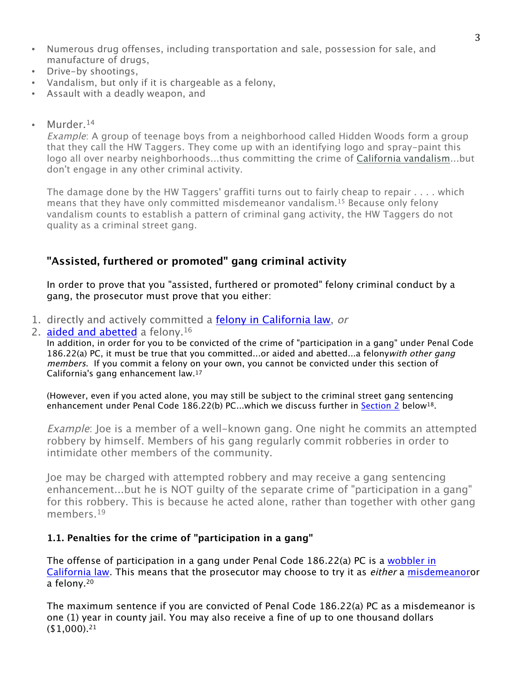- Numerous drug offenses, including transportation and sale, possession for sale, and manufacture of drugs,
- Drive-by shootings,
- Vandalism, but only if it is chargeable as a felony,
- Assault with a deadly weapon, and
- Murder.<sup>14</sup>

Example: A group of teenage boys from a neighborhood called Hidden Woods form a group that they call the HW Taggers. They come up with an identifying logo and spray-paint this logo all over nearby neighborhoods...thus committing the crime of California vandalism...but don't engage in any other criminal activity.

The damage done by the HW Taggers' graffiti turns out to fairly cheap to repair . . . . which means that they have only committed misdemeanor vandalism.15 Because only felony vandalism counts to establish a pattern of criminal gang activity, the HW Taggers do not quality as a criminal street gang.

# **"Assisted, furthered or promoted" gang criminal activity**

In order to prove that you "assisted, furthered or promoted" felony criminal conduct by a gang, the prosecutor must prove that you either:

- 1. directly and actively committed a felony in California law, or
- 2. aided and abetted a felony.<sup>16</sup>

In addition, in order for you to be convicted of the crime of "participation in a gang" under Penal Code 186.22(a) PC, it must be true that you committed...or aided and abetted...a felonywith other gang members. If you commit a felony on your own, you cannot be convicted under this section of California's gang enhancement law.17

(However, even if you acted alone, you may still be subject to the criminal street gang sentencing enhancement under Penal Code 186.22(b) PC...which we discuss further in Section 2 below<sup>18</sup>.

Example: Joe is a member of a well-known gang. One night he commits an attempted robbery by himself. Members of his gang regularly commit robberies in order to intimidate other members of the community.

Joe may be charged with attempted robbery and may receive a gang sentencing enhancement...but he is NOT guilty of the separate crime of "participation in a gang" for this robbery. This is because he acted alone, rather than together with other gang members.<sup>19</sup>

## **1.1. Penalties for the crime of "participation in a gang"**

The offense of participation in a gang under Penal Code 186.22(a) PC is a wobbler in California law. This means that the prosecutor may choose to try it as either a misdemeanoror a felony.20

The maximum sentence if you are convicted of Penal Code 186.22(a) PC as a misdemeanor is one (1) year in county jail. You may also receive a fine of up to one thousand dollars  $($1,000).<sup>21</sup>$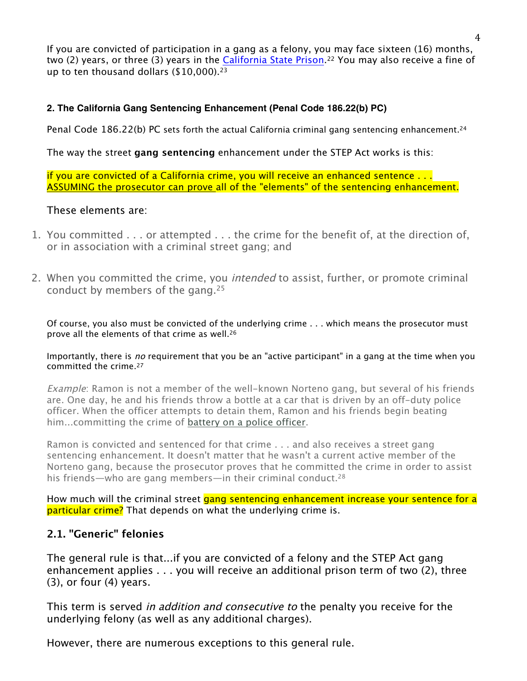If you are convicted of participation in a gang as a felony, you may face sixteen (16) months, two (2) years, or three (3) years in the California State Prison.<sup>22</sup> You may also receive a fine of up to ten thousand dollars (\$10,000).<sup>23</sup>

#### **2. The California Gang Sentencing Enhancement (Penal Code 186.22(b) PC)**

Penal Code 186.22(b) PC sets forth the actual California criminal gang sentencing enhancement.<sup>24</sup>

The way the street **gang sentencing** enhancement under the STEP Act works is this:

if you are convicted of a California crime, you will receive an enhanced sentence . . . ASSUMING the prosecutor can prove all of the "elements" of the sentencing enhancement.

## These elements are:

- 1. You committed . . . or attempted . . . the crime for the benefit of, at the direction of, or in association with a criminal street gang; and
- 2. When you committed the crime, you *intended* to assist, further, or promote criminal conduct by members of the gang.25

Of course, you also must be convicted of the underlying crime . . . which means the prosecutor must prove all the elements of that crime as well.26

#### Importantly, there is no requirement that you be an "active participant" in a gang at the time when you committed the crime.27

Example: Ramon is not a member of the well-known Norteno gang, but several of his friends are. One day, he and his friends throw a bottle at a car that is driven by an off-duty police officer. When the officer attempts to detain them, Ramon and his friends begin beating him...committing the crime of battery on a police officer.

Ramon is convicted and sentenced for that crime . . . and also receives a street gang sentencing enhancement. It doesn't matter that he wasn't a current active member of the Norteno gang, because the prosecutor proves that he committed the crime in order to assist his friends—who are gang members—in their criminal conduct.<sup>28</sup>

How much will the criminal street gang sentencing enhancement increase your sentence for a particular crime? That depends on what the underlying crime is.

## **2.1. "Generic" felonies**

The general rule is that...if you are convicted of a felony and the STEP Act gang enhancement applies . . . you will receive an additional prison term of two (2), three (3), or four (4) years.

This term is served *in addition and consecutive to* the penalty you receive for the underlying felony (as well as any additional charges).

However, there are numerous exceptions to this general rule.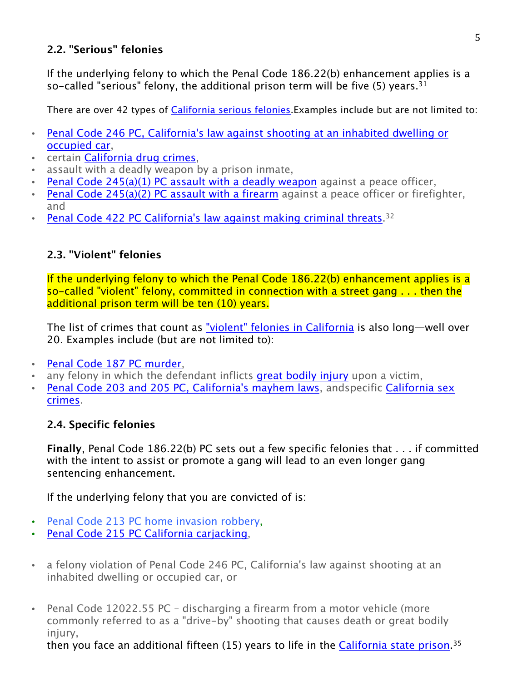# **2.2. "Serious" felonies**

If the underlying felony to which the Penal Code 186.22(b) enhancement applies is a so-called "serious" felony, the additional prison term will be five  $(5)$  years.<sup>31</sup>

There are over 42 types of California serious felonies.Examples include but are not limited to:

- Penal Code 246 PC, California's law against shooting at an inhabited dwelling or occupied car,
- certain California drug crimes,
- assault with a deadly weapon by a prison inmate,
- Penal Code 245(a)(1) PC assault with a deadly weapon against a peace officer,
- Penal Code 245(a)(2) PC assault with a firearm against a peace officer or firefighter, and
- Penal Code 422 PC California's law against making criminal threats.  $32$

# **2.3. "Violent" felonies**

If the underlying felony to which the Penal Code 186.22(b) enhancement applies is a so-called "violent" felony, committed in connection with a street gang . . . then the additional prison term will be ten (10) years.

The list of crimes that count as "violent" felonies in California is also long—well over 20. Examples include (but are not limited to):

- Penal Code 187 PC murder,
- any felony in which the defendant inflicts great bodily injury upon a victim,
- Penal Code 203 and 205 PC, California's mayhem laws, andspecific California sex crimes.

# **2.4. Specific felonies**

**Finally**, Penal Code 186.22(b) PC sets out a few specific felonies that . . . if committed with the intent to assist or promote a gang will lead to an even longer gang sentencing enhancement.

If the underlying felony that you are convicted of is:

- Penal Code 213 PC home invasion robbery,
- Penal Code 215 PC California carjacking,
- a felony violation of Penal Code 246 PC, California's law against shooting at an inhabited dwelling or occupied car, or
- Penal Code 12022.55 PC discharging a firearm from a motor vehicle (more commonly referred to as a "drive-by" shooting that causes death or great bodily injury,

then you face an additional fifteen (15) years to life in the California state prison.<sup>35</sup>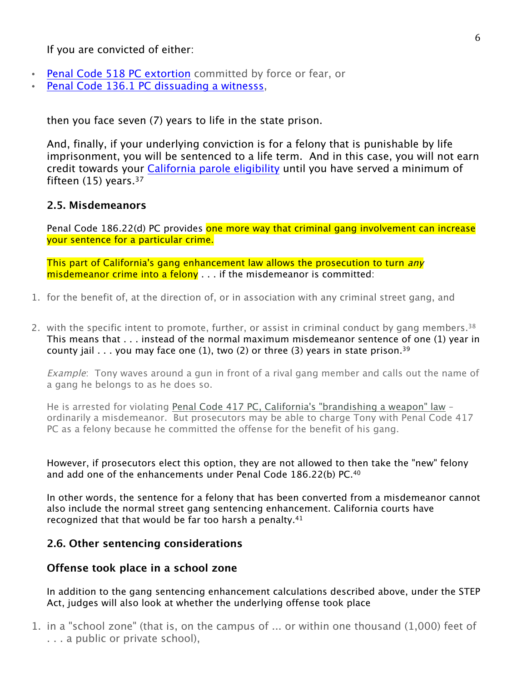If you are convicted of either:

- Penal Code 518 PC extortion committed by force or fear, or
- Penal Code 136.1 PC dissuading a witnesss,

then you face seven (7) years to life in the state prison.

And, finally, if your underlying conviction is for a felony that is punishable by life imprisonment, you will be sentenced to a life term. And in this case, you will not earn credit towards your California parole eligibility until you have served a minimum of fifteen  $(15)$  years.<sup>37</sup>

#### **2.5. Misdemeanors**

Penal Code 186.22(d) PC provides one more way that criminal gang involvement can increase your sentence for a particular crime.

This part of California's gang enhancement law allows the prosecution to turn any misdemeanor crime into a felony . . . if the misdemeanor is committed:

- 1. for the benefit of, at the direction of, or in association with any criminal street gang, and
- 2. with the specific intent to promote, further, or assist in criminal conduct by gang members.<sup>38</sup> This means that . . . instead of the normal maximum misdemeanor sentence of one (1) year in county jail  $\ldots$  you may face one (1), two (2) or three (3) years in state prison.<sup>39</sup>

Example: Tony waves around a gun in front of a rival gang member and calls out the name of a gang he belongs to as he does so.

He is arrested for violating Penal Code 417 PC, California's "brandishing a weapon" law – ordinarily a misdemeanor. But prosecutors may be able to charge Tony with Penal Code 417 PC as a felony because he committed the offense for the benefit of his gang.

However, if prosecutors elect this option, they are not allowed to then take the "new" felony and add one of the enhancements under Penal Code 186.22(b) PC.40

In other words, the sentence for a felony that has been converted from a misdemeanor cannot also include the normal street gang sentencing enhancement. California courts have recognized that that would be far too harsh a penalty.41

## **2.6. Other sentencing considerations**

#### **Offense took place in a school zone**

In addition to the gang sentencing enhancement calculations described above, under the STEP Act, judges will also look at whether the underlying offense took place

1. in a "school zone" (that is, on the campus of ... or within one thousand (1,000) feet of . . . a public or private school),